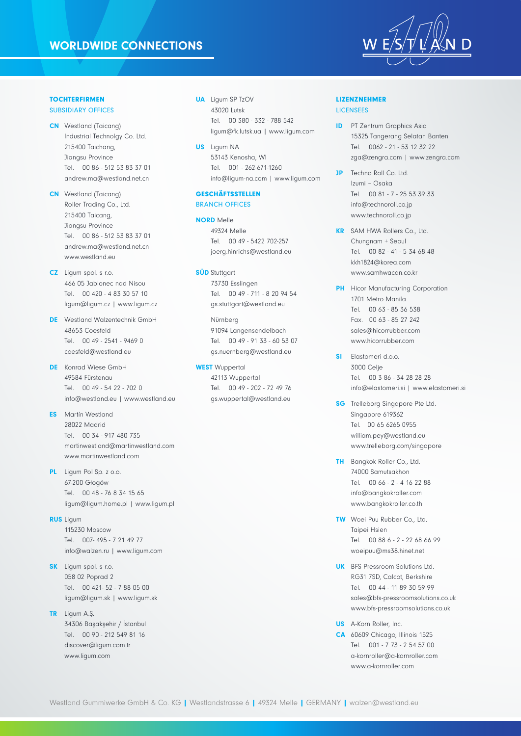### WORLDWIDE CONNECTIONS



# **TOCHTERFIRMEN**

- SUBSIDIARY OFFICES
- CN Westland (Taicang) Industrial Technolgy Co. Ltd. 215400 Taichang, Jiangsu Province Tel. 00 86 - 512 53 83 37 01 andrew.ma@westland.net.cn
- CN Westland (Taicang) Roller Trading Co., Ltd. 215400 Taicang, Jiangsu Province Tel. 00 86 - 512 53 83 37 01 andrew.ma@westland.net.cn www.westland.eu
- CZ Ligum spol. s r.o. 466 05 Jablonec nad Nisou Tel. 00 420 - 4 83 30 57 10 ligum@ligum.cz | www.ligum.cz
- DE Westland Walzentechnik GmbH 48653 Coesfeld Tel. 00 49 - 2541 - 9469 0 coesfeld@westland.eu
- DE Konrad Wiese GmbH 49584 Fürstenau Tel. 00 49 - 54 22 - 702 0 info@westland.eu | www.westland.eu
- ES Martín Westland 28022 Madrid Tel. 00 34 - 917 480 735 martinwestland@martinwestland.com www.martinwestland.com
- PL Ligum Pol Sp. z o.o. 67-200 Głogów Tel. 00 48 - 76 8 34 15 65 ligum@ligum.home.pl | www.ligum.pl
- RUS Ligum 115230 Moscow

Tel. 007- 495 - 7 21 49 77 info@walzen.ru | www.ligum.com

- **SK** Ligum spol. s r.o. 058 02 Poprad 2 Tel. 00 421- 52 - 7 88 05 00 ligum@ligum.sk | www.ligum.sk
- TR Ligum A.Ş. 34306 Başakşehir / İstanbul Tel. 00 90 - 212 549 81 16 discover@ligum.com.tr www.ligum.com
- **UA** Ligum SP TzOV 43020 Lutsk Tel. 00 380 - 332 - 788 542 ligum@fk.lutsk.ua | www.ligum.com
- US Ligum NA 53143 Kenosha, WI Tel. 001 - 262-671-1260 info@ligum-na.com | www.ligum.com

#### **GESCHÄFTSSTELLEN BRANCH OFFICES**

NORD Melle 49324 Melle Tel. 00 49 - 5422 702-257 joerg.hinrichs@westland.eu

**SÜD** Stuttgart 73730 Esslingen Tel. 00 49 - 711 - 8 20 94 54 gs.stuttgart@westland.eu

> Nürnberg 91094 Langensendelbach Tel. 00 49 - 91 33 - 60 53 07 gs.nuernberg@westland.eu

WEST Wuppertal 42113 Wuppertal Tel. 00 49 - 202 - 72 49 76 gs.wuppertal@westland.eu

#### lizenznehmer **LICENSEES**

- **ID** PT Zentrum Graphics Asia 15325 Tangerang Selatan Banten Tel. 0062 - 21 - 53 12 32 22 zga@zengra.com | www.zengra.com
- **JP** Techno Roll Co. Ltd. Izumi – Osaka Tel. 00 81 - 7 - 25 53 39 33 info@technoroll.co.jp www.technoroll.co.jp
- KR SAM HWA Rollers Co., Ltd. Chungnam + Seoul Tel. 00 82 - 41 - 5 34 68 48 kkh1824@korea.com www.samhwacan.co.kr
- **PH** Hicor Manufacturing Corporation 1701 Metro Manila Tel. 00 63 - 85 36 538 Fax. 00 63 - 85 27 242 sales@hicorrubber.com www.hicorrubber.com
- SI Flastomeri d.o.o. 3000 Celje Tel. 00 3 86 - 34 28 28 28 info@elastomeri.si | www.elastomeri.si
- **SG** Trelleborg Singapore Pte Ltd. Singapore 619362 Tel. 00 65 6265 0955 william.pey@westland.eu www.trelleborg.com/singapore
- TH Bangkok Roller Co., Ltd. 74000 Samutsakhon Tel. 00 66 - 2 - 4 16 22 88 info@bangkokroller.com www.bangkokroller.co.th
- TW Woei Puu Rubber Co., Ltd. Taipei Hsien Tel. 00 88 6 - 2 - 22 68 66 99 woeipuu@ms38.hinet.net
- **UK** BFS Pressroom Solutions Ltd. RG31 7SD, Calcot, Berkshire Tel. 00 44 - 11 89 30 59 99 sales@bfs-pressroomsolutions.co.uk www.bfs-pressroomsolutions.co.uk

US A-Korn Roller, Inc.

CA 60609 Chicago, Illinois 1525 Tel. 001 - 7 73 - 2 54 57 00 a-kornroller@a-kornroller.com www.a-kornroller.com